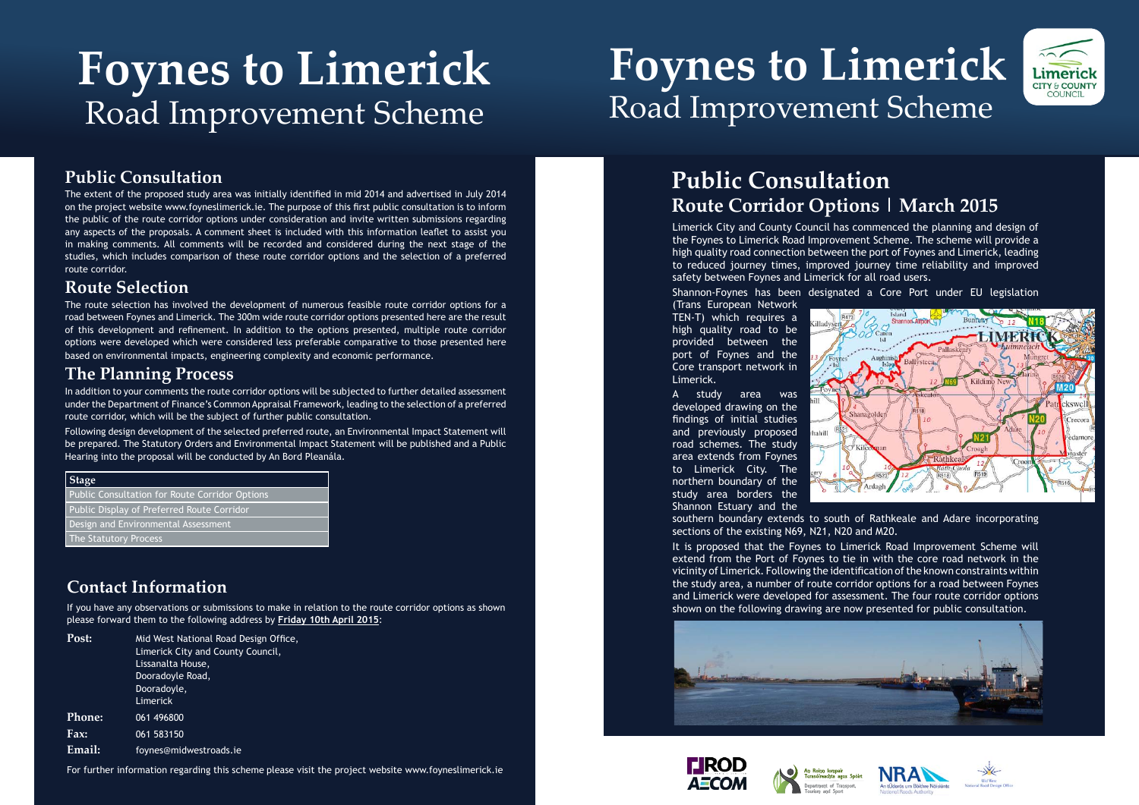## **Foynes to Limerick**  Road Improvement Scheme

# **Foynes to Limerick**  Road Improvement Scheme

## **Contact Information**

If you have any observations or submissions to make in relation to the route corridor options as shown please forward them to the following address by **Friday 10th April 2015**:

| Post:         | Mid West National Road Design Office,<br>Limerick City and County Council,<br>Lissanalta House,<br>Dooradoyle Road,<br>Dooradoyle,<br>Limerick |
|---------------|------------------------------------------------------------------------------------------------------------------------------------------------|
| <b>Phone:</b> | 061 496800                                                                                                                                     |
| Fax:          | 061 583150                                                                                                                                     |
| Email:        | foynes@midwestroads.ie                                                                                                                         |

For further information regarding this scheme please visit the project website www.foyneslimerick.ie

## **Public Consultation**

The route selection has involved the development of numerous feasible route corridor options for a road between Foynes and Limerick. The 300m wide route corridor options presented here are the result of this development and refinement. In addition to the options presented, multiple route corridor options were developed which were considered less preferable comparative to those presented here based on environmental impacts, engineering complexity and economic performance.

The extent of the proposed study area was initially identified in mid 2014 and advertised in July 2014 on the project website www.foyneslimerick.ie. The purpose of this first public consultation is to inform the public of the route corridor options under consideration and invite written submissions regarding any aspects of the proposals. A comment sheet is included with this information leaflet to assist you in making comments. All comments will be recorded and considered during the next stage of the studies, which includes comparison of these route corridor options and the selection of a preferred route corridor.

### **Route Selection**

### **The Planning Process**

In addition to your comments the route corridor options will be subjected to further detailed assessment under the Department of Finance's Common Appraisal Framework, leading to the selection of a preferred route corridor, which will be the subject of further public consultation.

Following design development of the selected preferred route, an Environmental Impact Statement will be prepared. The Statutory Orders and Environmental Impact Statement will be published and a Public Hearing into the proposal will be conducted by An Bord Pleanála.

#### **Stage**

Public Consultation for Route Corridor Options Public Display of Preferred Route Corridor Design and Environmental Assessment The Statutory Process

Limerick City and County Council has commenced the planning and design of the Foynes to Limerick Road Improvement Scheme. The scheme will provide a high quality road connection between the port of Foynes and Limerick, leading to reduced journey times, improved journey time reliability and improved safety between Foynes and Limerick for all road users.

Shannon-Foynes has been designated a Core Port under EU legislation







(Trans European Network TEN-T) which requires a high quality road to be provided between the port of Foynes and the Core transport network in Limerick.

A study area was developed drawing on the findings of initial studies and previously proposed road schemes. The study area extends from Foynes to Limerick City. The northern boundary of the study area borders the Shannon Estuary and the



southern boundary extends to south of Rathkeale and Adare incorporating sections of the existing N69, N21, N20 and M20.

It is proposed that the Foynes to Limerick Road Improvement Scheme will extend from the Port of Foynes to tie in with the core road network in the vicinity of Limerick. Following the identification of the known constraints within the study area, a number of route corridor options for a road between Foynes and Limerick were developed for assessment. The four route corridor options shown on the following drawing are now presented for public consultation.









## **Public Consultation Route Corridor Options | March 2015**